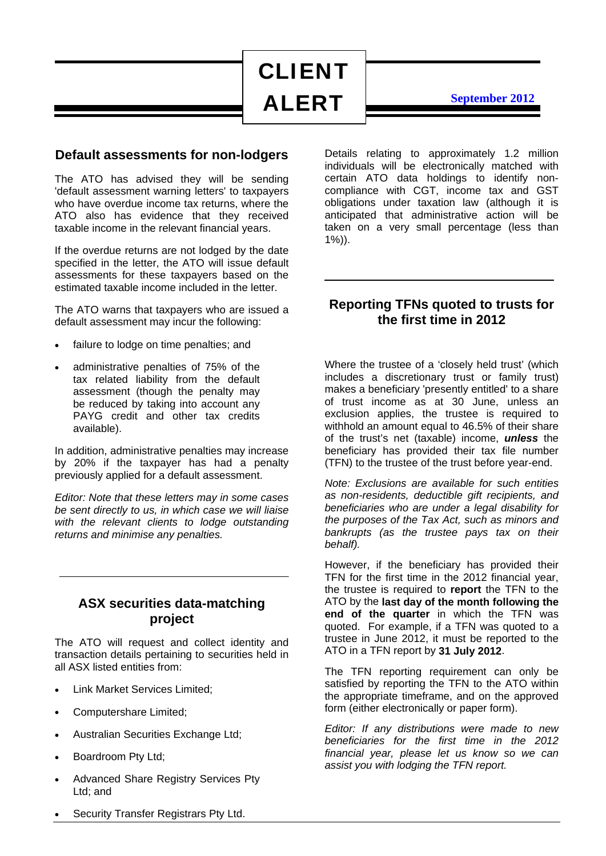CLIENT ALERT

**September 2012**

### **Default assessments for non-lodgers**

The ATO has advised they will be sending 'default assessment warning letters' to taxpayers who have overdue income tax returns, where the ATO also has evidence that they received taxable income in the relevant financial years.

If the overdue returns are not lodged by the date specified in the letter, the ATO will issue default assessments for these taxpayers based on the estimated taxable income included in the letter.

The ATO warns that taxpayers who are issued a default assessment may incur the following:

- failure to lodge on time penalties; and
- administrative penalties of 75% of the tax related liability from the default assessment (though the penalty may be reduced by taking into account any PAYG credit and other tax credits available).

In addition, administrative penalties may increase by 20% if the taxpayer has had a penalty previously applied for a default assessment.

*Editor: Note that these letters may in some cases be sent directly to us, in which case we will liaise with the relevant clients to lodge outstanding returns and minimise any penalties.* 

### **ASX securities data-matching project**

The ATO will request and collect identity and transaction details pertaining to securities held in all ASX listed entities from:

- Link Market Services Limited;
- Computershare Limited;
- Australian Securities Exchange Ltd;
- Boardroom Pty Ltd;
- Advanced Share Registry Services Pty Ltd; and

Details relating to approximately 1.2 million individuals will be electronically matched with certain ATO data holdings to identify noncompliance with CGT, income tax and GST obligations under taxation law (although it is anticipated that administrative action will be taken on a very small percentage (less than 1%)).

# **Reporting TFNs quoted to trusts for the first time in 2012**

Where the trustee of a 'closely held trust' (which includes a discretionary trust or family trust) makes a beneficiary 'presently entitled' to a share of trust income as at 30 June, unless an exclusion applies, the trustee is required to withhold an amount equal to 46.5% of their share of the trust's net (taxable) income, *unless* the beneficiary has provided their tax file number (TFN) to the trustee of the trust before year-end.

*Note: Exclusions are available for such entities as non-residents, deductible gift recipients, and beneficiaries who are under a legal disability for the purposes of the Tax Act, such as minors and bankrupts (as the trustee pays tax on their behalf).* 

However, if the beneficiary has provided their TFN for the first time in the 2012 financial year, the trustee is required to **report** the TFN to the ATO by the **last day of the month following the end of the quarter** in which the TFN was quoted. For example, if a TFN was quoted to a trustee in June 2012, it must be reported to the ATO in a TFN report by **31 July 2012**.

The TFN reporting requirement can only be satisfied by reporting the TFN to the ATO within the appropriate timeframe, and on the approved form (either electronically or paper form).

*Editor: If any distributions were made to new beneficiaries for the first time in the 2012 financial year, please let us know so we can assist you with lodging the TFN report.* 

Security Transfer Registrars Pty Ltd.